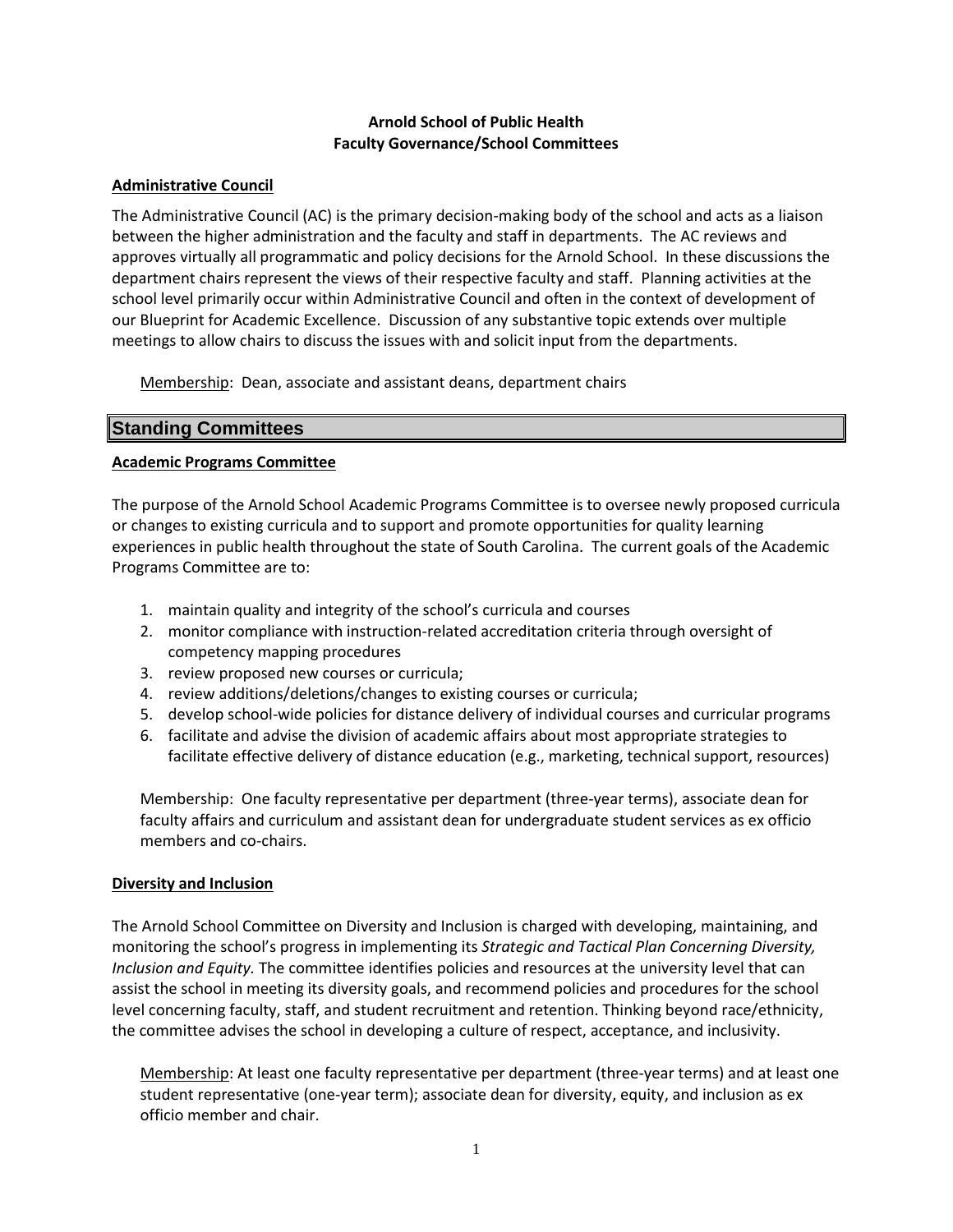# **Arnold School of Public Health Faculty Governance/School Committees**

## **Administrative Council**

The Administrative Council (AC) is the primary decision-making body of the school and acts as a liaison between the higher administration and the faculty and staff in departments. The AC reviews and approves virtually all programmatic and policy decisions for the Arnold School. In these discussions the department chairs represent the views of their respective faculty and staff. Planning activities at the school level primarily occur within Administrative Council and often in the context of development of our Blueprint for Academic Excellence. Discussion of any substantive topic extends over multiple meetings to allow chairs to discuss the issues with and solicit input from the departments.

Membership: Dean, associate and assistant deans, department chairs

# **Standing Committees**

# **Academic Programs Committee**

The purpose of the Arnold School Academic Programs Committee is to oversee newly proposed curricula or changes to existing curricula and to support and promote opportunities for quality learning experiences in public health throughout the state of South Carolina. The current goals of the Academic Programs Committee are to:

- 1. maintain quality and integrity of the school's curricula and courses
- 2. monitor compliance with instruction-related accreditation criteria through oversight of competency mapping procedures
- 3. review proposed new courses or curricula;
- 4. review additions/deletions/changes to existing courses or curricula;
- 5. develop school-wide policies for distance delivery of individual courses and curricular programs
- 6. facilitate and advise the division of academic affairs about most appropriate strategies to facilitate effective delivery of distance education (e.g., marketing, technical support, resources)

Membership: One faculty representative per department (three-year terms), associate dean for faculty affairs and curriculum and assistant dean for undergraduate student services as ex officio members and co-chairs.

## **Diversity and Inclusion**

The Arnold School Committee on Diversity and Inclusion is charged with developing, maintaining, and monitoring the school's progress in implementing its *Strategic and Tactical Plan Concerning Diversity, Inclusion and Equity.* The committee identifies policies and resources at the university level that can assist the school in meeting its diversity goals, and recommend policies and procedures for the school level concerning faculty, staff, and student recruitment and retention. Thinking beyond race/ethnicity, the committee advises the school in developing a culture of respect, acceptance, and inclusivity.

Membership: At least one faculty representative per department (three-year terms) and at least one student representative (one-year term); associate dean for diversity, equity, and inclusion as ex officio member and chair.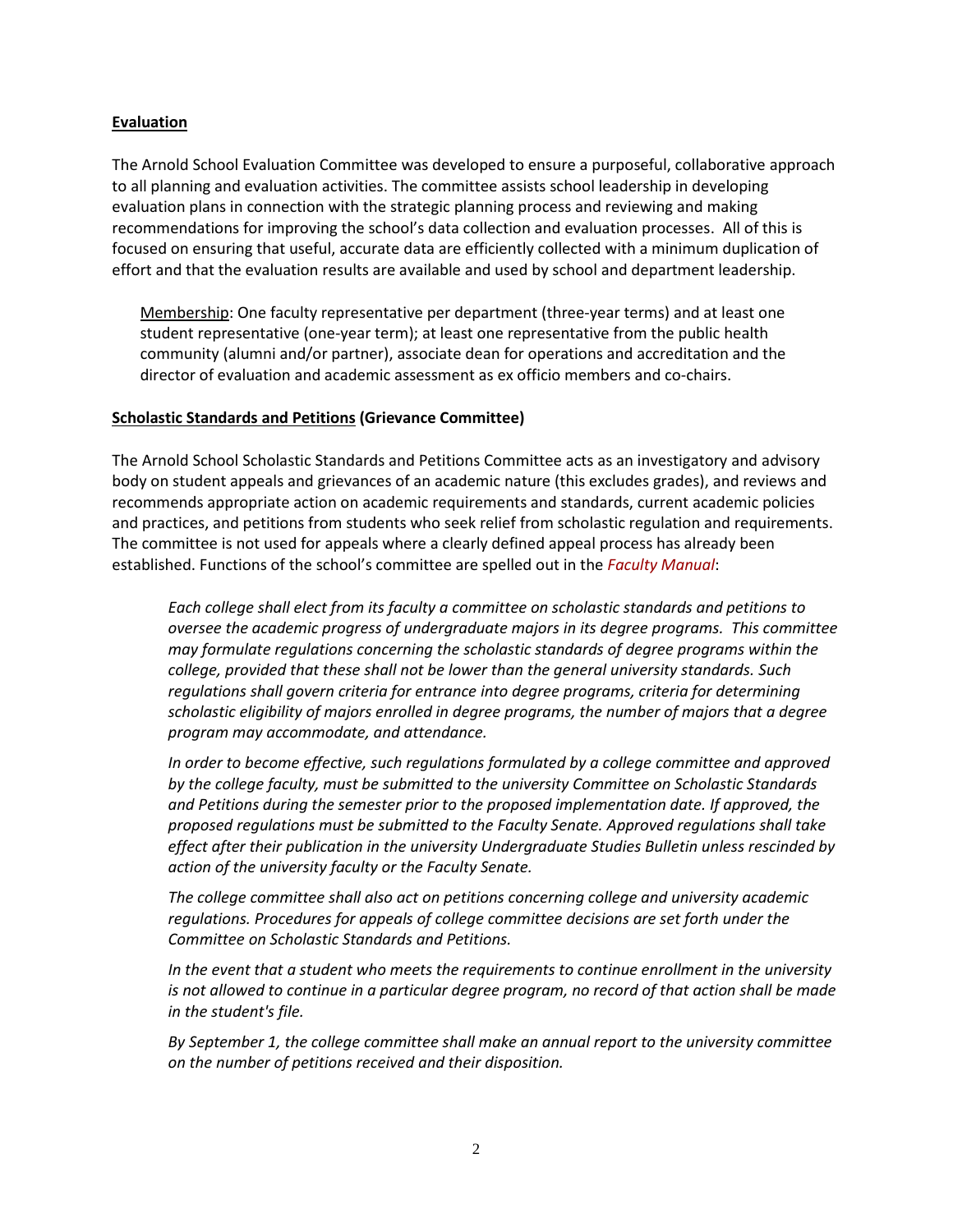#### **Evaluation**

The Arnold School Evaluation Committee was developed to ensure a purposeful, collaborative approach to all planning and evaluation activities. The committee assists school leadership in developing evaluation plans in connection with the strategic planning process and reviewing and making recommendations for improving the school's data collection and evaluation processes. All of this is focused on ensuring that useful, accurate data are efficiently collected with a minimum duplication of effort and that the evaluation results are available and used by school and department leadership.

Membership: One faculty representative per department (three-year terms) and at least one student representative (one-year term); at least one representative from the public health community (alumni and/or partner), associate dean for operations and accreditation and the director of evaluation and academic assessment as ex officio members and co-chairs.

#### **Scholastic Standards and Petitions (Grievance Committee)**

The Arnold School Scholastic Standards and Petitions Committee acts as an investigatory and advisory body on student appeals and grievances of an academic nature (this excludes grades), and reviews and recommends appropriate action on academic requirements and standards, current academic policies and practices, and petitions from students who seek relief from scholastic regulation and requirements. The committee is not used for appeals where a clearly defined appeal process has already been established. Functions of the school's committee are spelled out in the *[Faculty Manual](http://www.sc.edu/policies/facman/Faculty_Manual_Columbia.pdf)*:

*Each college shall elect from its faculty a committee on scholastic standards and petitions to oversee the academic progress of undergraduate majors in its degree programs. This committee may formulate regulations concerning the scholastic standards of degree programs within the college, provided that these shall not be lower than the general university standards. Such regulations shall govern criteria for entrance into degree programs, criteria for determining scholastic eligibility of majors enrolled in degree programs, the number of majors that a degree program may accommodate, and attendance.*

*In order to become effective, such regulations formulated by a college committee and approved by the college faculty, must be submitted to the university Committee on Scholastic Standards and Petitions during the semester prior to the proposed implementation date. If approved, the proposed regulations must be submitted to the Faculty Senate. Approved regulations shall take effect after their publication in the university Undergraduate Studies Bulletin unless rescinded by action of the university faculty or the Faculty Senate.*

*The college committee shall also act on petitions concerning college and university academic regulations. Procedures for appeals of college committee decisions are set forth under the Committee on Scholastic Standards and Petitions.*

*In the event that a student who meets the requirements to continue enrollment in the university is not allowed to continue in a particular degree program, no record of that action shall be made in the student's file.*

*By September 1, the college committee shall make an annual report to the university committee on the number of petitions received and their disposition.*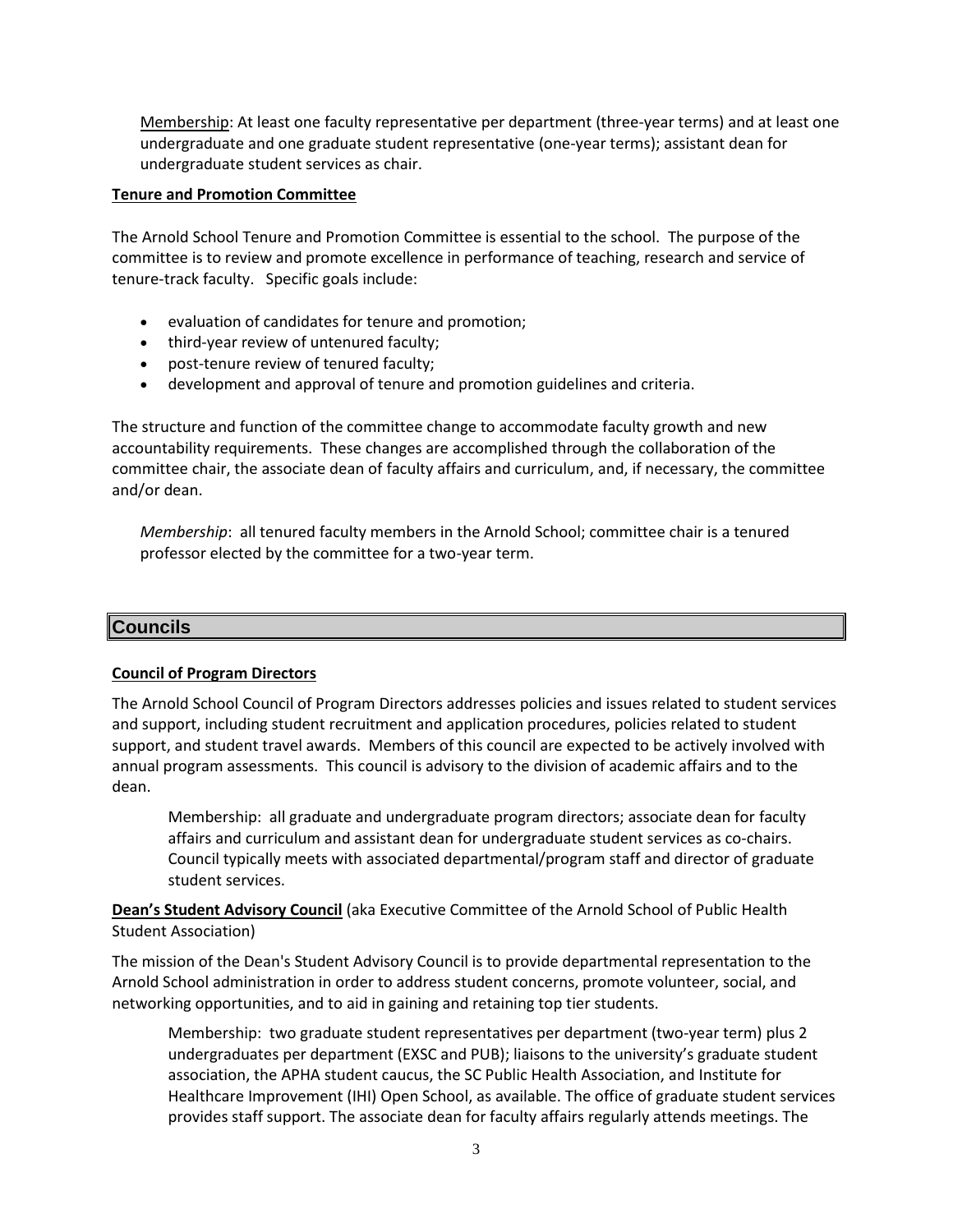Membership: At least one faculty representative per department (three-year terms) and at least one undergraduate and one graduate student representative (one-year terms); assistant dean for undergraduate student services as chair.

## **Tenure and Promotion Committee**

The Arnold School Tenure and Promotion Committee is essential to the school. The purpose of the committee is to review and promote excellence in performance of teaching, research and service of tenure-track faculty. Specific goals include:

- evaluation of candidates for tenure and promotion;
- third-year review of untenured faculty;
- post-tenure review of tenured faculty;
- development and approval of tenure and promotion guidelines and criteria.

The structure and function of the committee change to accommodate faculty growth and new accountability requirements. These changes are accomplished through the collaboration of the committee chair, the associate dean of faculty affairs and curriculum, and, if necessary, the committee and/or dean.

*Membership*: all tenured faculty members in the Arnold School; committee chair is a tenured professor elected by the committee for a two-year term.

# **Councils**

## **Council of Program Directors**

The Arnold School Council of Program Directors addresses policies and issues related to student services and support, including student recruitment and application procedures, policies related to student support, and student travel awards. Members of this council are expected to be actively involved with annual program assessments. This council is advisory to the division of academic affairs and to the dean.

Membership: all graduate and undergraduate program directors; associate dean for faculty affairs and curriculum and assistant dean for undergraduate student services as co-chairs. Council typically meets with associated departmental/program staff and director of graduate student services.

**Dean's Student Advisory Council** (aka Executive Committee of the Arnold School of Public Health Student Association)

The mission of the Dean's Student Advisory Council is to provide departmental representation to the Arnold School administration in order to address student concerns, promote volunteer, social, and networking opportunities, and to aid in gaining and retaining top tier students.

Membership: two graduate student representatives per department (two-year term) plus 2 undergraduates per department (EXSC and PUB); liaisons to the university's graduate student association, the APHA student caucus, the SC Public Health Association, and Institute for Healthcare Improvement (IHI) Open School, as available. The office of graduate student services provides staff support. The associate dean for faculty affairs regularly attends meetings. The